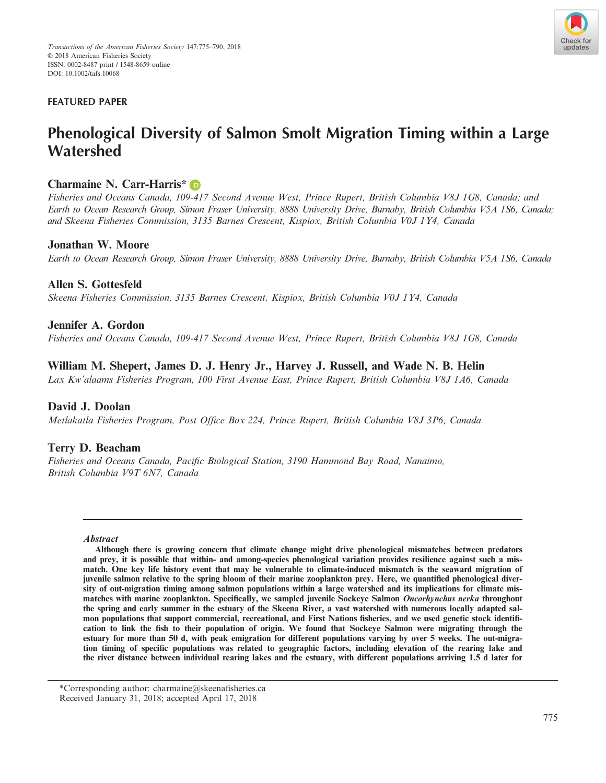

## **FEATURED PAPER**

# **Phenological Diversity of Salmon Smolt Migration Timing within a Large Watershed**

# **Charmaine N. Carr-Harris[\\*](http://orcid.org/0000-0003-0553-002X)**

*Fisheries and Oceans Canada, 109-417 Second Avenue West, Prince Rupert, British Columbia V8J 1G8, Canada; and Earth to Ocean Research Group, Simon Fraser University, 8888 University Drive, Burnaby, British Columbia V5A 1S6, Canada; and Skeena Fisheries Commission, 3135 Barnes Crescent, Kispiox, British Columbia V0J 1Y4, Canada*

## **Jonathan W. Moore**

*Earth to Ocean Research Group, Simon Fraser University, 8888 University Drive, Burnaby, British Columbia V5A 1S6, Canada*

## **Allen S. Gottesfeld**

*Skeena Fisheries Commission, 3135 Barnes Crescent, Kispiox, British Columbia V0J 1Y4, Canada*

## **Jennifer A. Gordon**

*Fisheries and Oceans Canada, 109-417 Second Avenue West, Prince Rupert, British Columbia V8J 1G8, Canada*

# **William M. Shepert, James D. J. Henry Jr., Harvey J. Russell, and Wade N. B. Helin**

*Lax Kw'alaams Fisheries Program, 100 First Avenue East, Prince Rupert, British Columbia V8J 1A6, Canada*

## **David J. Doolan**

*Metlakatla Fisheries Program, Post Office Box 224, Prince Rupert, British Columbia V8J 3P6, Canada*

## **Terry D. Beacham**

*Fisheries and Oceans Canada, Pacific Biological Station, 3190 Hammond Bay Road, Nanaimo, British Columbia V9T 6N7, Canada*

#### **Abstract**

**Although there is growing concern that climate change might drive phenological mismatches between predators and prey, it is possible that within- and among-species phenological variation provides resilience against such a mismatch. One key life history event that may be vulnerable to climate-induced mismatch is the seaward migration of juvenile salmon relative to the spring bloom of their marine zooplankton prey. Here, we quantified phenological diversity of out-migration timing among salmon populations within a large watershed and its implications for climate mismatches with marine zooplankton. Specifically, we sampled juvenile Sockeye Salmon Oncorhynchus nerka throughout the spring and early summer in the estuary of the Skeena River, a vast watershed with numerous locally adapted salmon populations that support commercial, recreational, and First Nations fisheries, and we used genetic stock identification to link the fish to their population of origin. We found that Sockeye Salmon were migrating through the estuary for more than 50 d, with peak emigration for different populations varying by over 5 weeks. The out-migration timing of specific populations was related to geographic factors, including elevation of the rearing lake and the river distance between individual rearing lakes and the estuary, with different populations arriving 1.5 d later for**

\*Corresponding author: charmaine@skeenafisheries.ca Received January 31, 2018; accepted April 17, 2018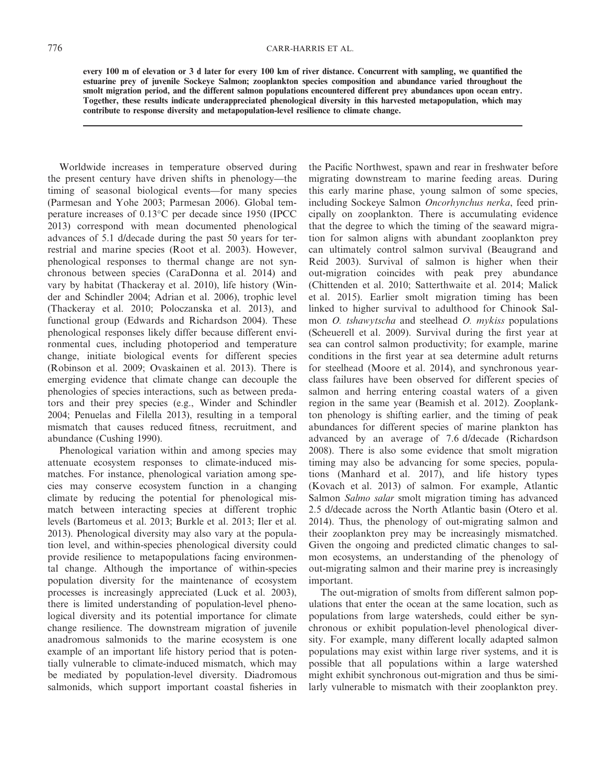**every 100 m of elevation or 3 d later for every 100 km of river distance. Concurrent with sampling, we quantified the estuarine prey of juvenile Sockeye Salmon; zooplankton species composition and abundance varied throughout the smolt migration period, and the different salmon populations encountered different prey abundances upon ocean entry. Together, these results indicate underappreciated phenological diversity in this harvested metapopulation, which may contribute to response diversity and metapopulation-level resilience to climate change.**

Worldwide increases in temperature observed during the present century have driven shifts in phenology—the timing of seasonal biological events—for many species (Parmesan and Yohe 2003; Parmesan 2006). Global temperature increases of 0.13°C per decade since 1950 (IPCC 2013) correspond with mean documented phenological advances of 5.1 d/decade during the past 50 years for terrestrial and marine species (Root et al. 2003). However, phenological responses to thermal change are not synchronous between species (CaraDonna et al. 2014) and vary by habitat (Thackeray et al. 2010), life history (Winder and Schindler 2004; Adrian et al. 2006), trophic level (Thackeray et al. 2010; Poloczanska et al. 2013), and functional group (Edwards and Richardson 2004). These phenological responses likely differ because different environmental cues, including photoperiod and temperature change, initiate biological events for different species (Robinson et al. 2009; Ovaskainen et al. 2013). There is emerging evidence that climate change can decouple the phenologies of species interactions, such as between predators and their prey species (e.g., Winder and Schindler 2004; Penuelas and Filella 2013), resulting in a temporal mismatch that causes reduced fitness, recruitment, and abundance (Cushing 1990).

Phenological variation within and among species may attenuate ecosystem responses to climate-induced mismatches. For instance, phenological variation among species may conserve ecosystem function in a changing climate by reducing the potential for phenological mismatch between interacting species at different trophic levels (Bartomeus et al. 2013; Burkle et al. 2013; Iler et al. 2013). Phenological diversity may also vary at the population level, and within-species phenological diversity could provide resilience to metapopulations facing environmental change. Although the importance of within-species population diversity for the maintenance of ecosystem processes is increasingly appreciated (Luck et al. 2003), there is limited understanding of population-level phenological diversity and its potential importance for climate change resilience. The downstream migration of juvenile anadromous salmonids to the marine ecosystem is one example of an important life history period that is potentially vulnerable to climate-induced mismatch, which may be mediated by population-level diversity. Diadromous salmonids, which support important coastal fisheries in the Pacific Northwest, spawn and rear in freshwater before migrating downstream to marine feeding areas. During this early marine phase, young salmon of some species, including Sockeye Salmon *Oncorhynchus nerka*, feed principally on zooplankton. There is accumulating evidence that the degree to which the timing of the seaward migration for salmon aligns with abundant zooplankton prey can ultimately control salmon survival (Beaugrand and Reid 2003). Survival of salmon is higher when their out-migration coincides with peak prey abundance (Chittenden et al. 2010; Satterthwaite et al. 2014; Malick et al. 2015). Earlier smolt migration timing has been linked to higher survival to adulthood for Chinook Salmon *O. tshawytscha* and steelhead *O. mykiss* populations (Scheuerell et al. 2009). Survival during the first year at sea can control salmon productivity; for example, marine conditions in the first year at sea determine adult returns for steelhead (Moore et al. 2014), and synchronous yearclass failures have been observed for different species of salmon and herring entering coastal waters of a given region in the same year (Beamish et al. 2012). Zooplankton phenology is shifting earlier, and the timing of peak abundances for different species of marine plankton has advanced by an average of 7.6 d/decade (Richardson 2008). There is also some evidence that smolt migration timing may also be advancing for some species, populations (Manhard et al. 2017), and life history types (Kovach et al. 2013) of salmon. For example, Atlantic Salmon *Salmo salar* smolt migration timing has advanced 2.5 d/decade across the North Atlantic basin (Otero et al. 2014). Thus, the phenology of out-migrating salmon and their zooplankton prey may be increasingly mismatched. Given the ongoing and predicted climatic changes to salmon ecosystems, an understanding of the phenology of out-migrating salmon and their marine prey is increasingly important.

The out-migration of smolts from different salmon populations that enter the ocean at the same location, such as populations from large watersheds, could either be synchronous or exhibit population-level phenological diversity. For example, many different locally adapted salmon populations may exist within large river systems, and it is possible that all populations within a large watershed might exhibit synchronous out-migration and thus be similarly vulnerable to mismatch with their zooplankton prey.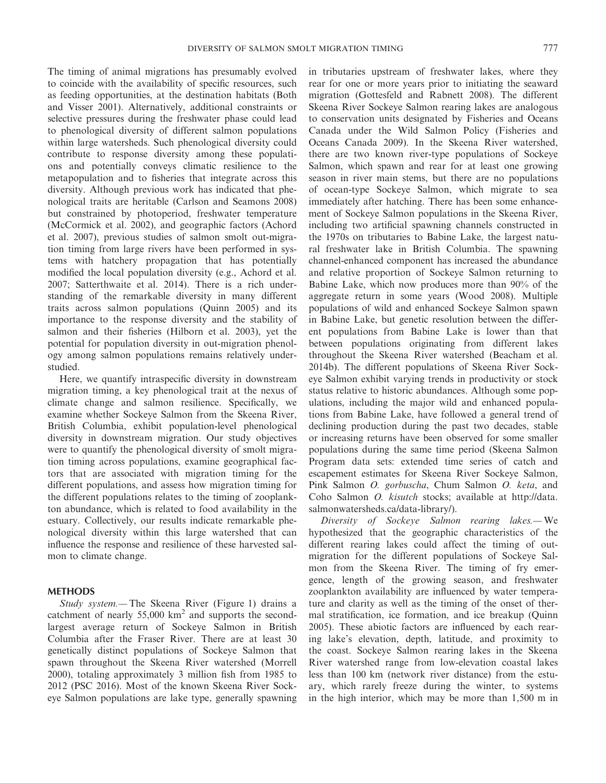The timing of animal migrations has presumably evolved to coincide with the availability of specific resources, such as feeding opportunities, at the destination habitats (Both and Visser 2001). Alternatively, additional constraints or selective pressures during the freshwater phase could lead to phenological diversity of different salmon populations within large watersheds. Such phenological diversity could contribute to response diversity among these populations and potentially conveys climatic resilience to the metapopulation and to fisheries that integrate across this diversity. Although previous work has indicated that phenological traits are heritable (Carlson and Seamons 2008) but constrained by photoperiod, freshwater temperature (McCormick et al. 2002), and geographic factors (Achord et al. 2007), previous studies of salmon smolt out-migration timing from large rivers have been performed in systems with hatchery propagation that has potentially modified the local population diversity (e.g., Achord et al. 2007; Satterthwaite et al. 2014). There is a rich understanding of the remarkable diversity in many different traits across salmon populations (Quinn 2005) and its importance to the response diversity and the stability of salmon and their fisheries (Hilborn et al. 2003), yet the potential for population diversity in out-migration phenology among salmon populations remains relatively understudied.

Here, we quantify intraspecific diversity in downstream migration timing, a key phenological trait at the nexus of climate change and salmon resilience. Specifically, we examine whether Sockeye Salmon from the Skeena River, British Columbia, exhibit population-level phenological diversity in downstream migration. Our study objectives were to quantify the phenological diversity of smolt migration timing across populations, examine geographical factors that are associated with migration timing for the different populations, and assess how migration timing for the different populations relates to the timing of zooplankton abundance, which is related to food availability in the estuary. Collectively, our results indicate remarkable phenological diversity within this large watershed that can influence the response and resilience of these harvested salmon to climate change.

#### **METHODS**

*Study system.—* The Skeena River (Figure 1) drains a catchment of nearly  $55,000 \text{ km}^2$  and supports the secondlargest average return of Sockeye Salmon in British Columbia after the Fraser River. There are at least 30 genetically distinct populations of Sockeye Salmon that spawn throughout the Skeena River watershed (Morrell 2000), totaling approximately 3 million fish from 1985 to 2012 (PSC 2016). Most of the known Skeena River Sockeye Salmon populations are lake type, generally spawning in tributaries upstream of freshwater lakes, where they rear for one or more years prior to initiating the seaward migration (Gottesfeld and Rabnett 2008). The different Skeena River Sockeye Salmon rearing lakes are analogous to conservation units designated by Fisheries and Oceans Canada under the Wild Salmon Policy (Fisheries and Oceans Canada 2009). In the Skeena River watershed, there are two known river-type populations of Sockeye Salmon, which spawn and rear for at least one growing season in river main stems, but there are no populations of ocean-type Sockeye Salmon, which migrate to sea immediately after hatching. There has been some enhancement of Sockeye Salmon populations in the Skeena River, including two artificial spawning channels constructed in the 1970s on tributaries to Babine Lake, the largest natural freshwater lake in British Columbia. The spawning channel-enhanced component has increased the abundance and relative proportion of Sockeye Salmon returning to Babine Lake, which now produces more than 90% of the aggregate return in some years (Wood 2008). Multiple populations of wild and enhanced Sockeye Salmon spawn in Babine Lake, but genetic resolution between the different populations from Babine Lake is lower than that between populations originating from different lakes throughout the Skeena River watershed (Beacham et al. 2014b). The different populations of Skeena River Sockeye Salmon exhibit varying trends in productivity or stock status relative to historic abundances. Although some populations, including the major wild and enhanced populations from Babine Lake, have followed a general trend of declining production during the past two decades, stable or increasing returns have been observed for some smaller populations during the same time period (Skeena Salmon Program data sets: extended time series of catch and escapement estimates for Skeena River Sockeye Salmon, Pink Salmon *O. gorbuscha*, Chum Salmon *O. keta*, and Coho Salmon *O. kisutch* stocks; available at [http://data.](http://data.salmonwatersheds.ca/data-library/) [salmonwatersheds.ca/data-library/](http://data.salmonwatersheds.ca/data-library/)).

*Diversity of Sockeye Salmon rearing lakes.—* We hypothesized that the geographic characteristics of the different rearing lakes could affect the timing of outmigration for the different populations of Sockeye Salmon from the Skeena River. The timing of fry emergence, length of the growing season, and freshwater zooplankton availability are influenced by water temperature and clarity as well as the timing of the onset of thermal stratification, ice formation, and ice breakup (Quinn 2005). These abiotic factors are influenced by each rearing lake's elevation, depth, latitude, and proximity to the coast. Sockeye Salmon rearing lakes in the Skeena River watershed range from low-elevation coastal lakes less than 100 km (network river distance) from the estuary, which rarely freeze during the winter, to systems in the high interior, which may be more than 1,500 m in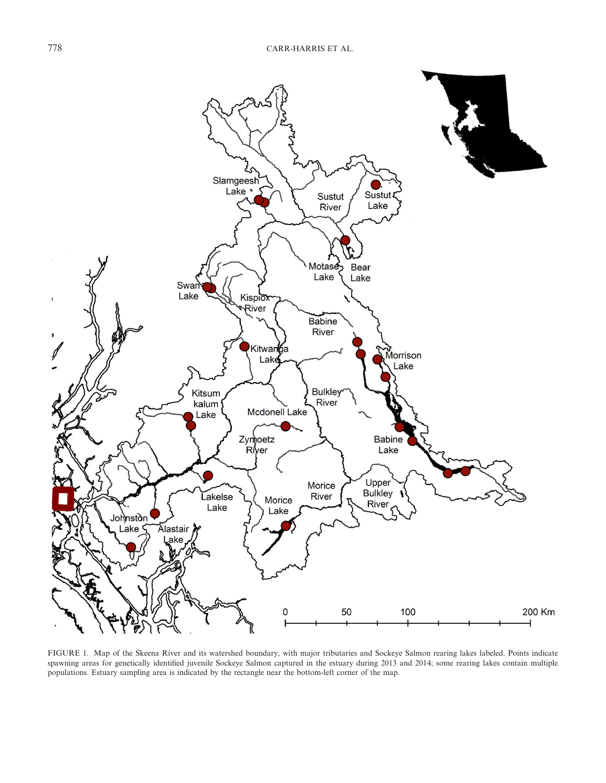

FIGURE 1. Map of the Skeena River and its watershed boundary, with major tributaries and Sockeye Salmon rearing lakes labeled. Points indicate spawning areas for genetically identified juvenile Sockeye Salmon captured in the estuary during 2013 and 2014; some rearing lakes contain multiple populations. Estuary sampling area is indicated by the rectangle near the bottom-left corner of the map.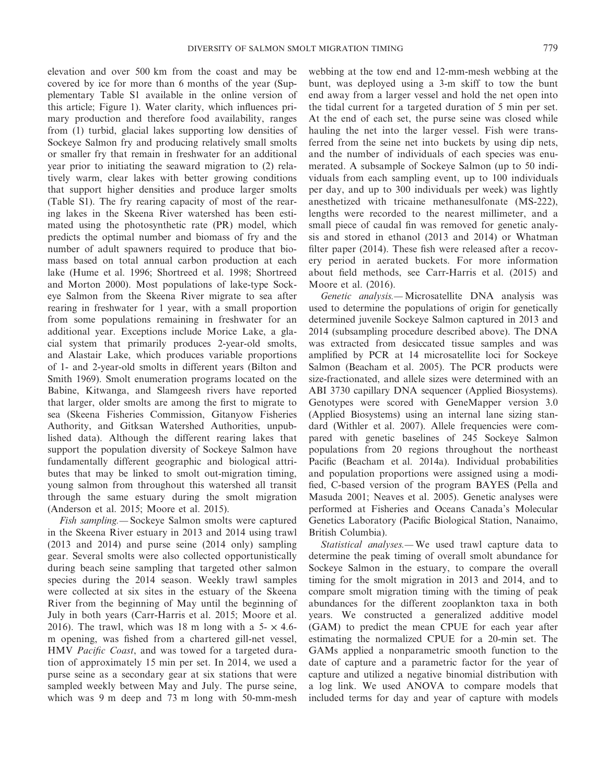elevation and over 500 km from the coast and may be covered by ice for more than 6 months of the year (Supplementary Table S1 available in the online version of this article; Figure 1). Water clarity, which influences primary production and therefore food availability, ranges from (1) turbid, glacial lakes supporting low densities of Sockeye Salmon fry and producing relatively small smolts or smaller fry that remain in freshwater for an additional year prior to initiating the seaward migration to (2) relatively warm, clear lakes with better growing conditions that support higher densities and produce larger smolts (Table S1). The fry rearing capacity of most of the rearing lakes in the Skeena River watershed has been estimated using the photosynthetic rate (PR) model, which predicts the optimal number and biomass of fry and the number of adult spawners required to produce that biomass based on total annual carbon production at each lake (Hume et al. 1996; Shortreed et al. 1998; Shortreed and Morton 2000). Most populations of lake-type Sockeye Salmon from the Skeena River migrate to sea after rearing in freshwater for 1 year, with a small proportion from some populations remaining in freshwater for an additional year. Exceptions include Morice Lake, a glacial system that primarily produces 2-year-old smolts, and Alastair Lake, which produces variable proportions of 1- and 2-year-old smolts in different years (Bilton and Smith 1969). Smolt enumeration programs located on the Babine, Kitwanga, and Slamgeesh rivers have reported that larger, older smolts are among the first to migrate to sea (Skeena Fisheries Commission, Gitanyow Fisheries Authority, and Gitksan Watershed Authorities, unpublished data). Although the different rearing lakes that support the population diversity of Sockeye Salmon have fundamentally different geographic and biological attributes that may be linked to smolt out-migration timing, young salmon from throughout this watershed all transit through the same estuary during the smolt migration (Anderson et al. 2015; Moore et al. 2015).

*Fish sampling.—* Sockeye Salmon smolts were captured in the Skeena River estuary in 2013 and 2014 using trawl (2013 and 2014) and purse seine (2014 only) sampling gear. Several smolts were also collected opportunistically during beach seine sampling that targeted other salmon species during the 2014 season. Weekly trawl samples were collected at six sites in the estuary of the Skeena River from the beginning of May until the beginning of July in both years (Carr-Harris et al. 2015; Moore et al. 2016). The trawl, which was 18 m long with a  $5 - \times 4.6$ m opening, was fished from a chartered gill-net vessel, HMV *Pacific Coast*, and was towed for a targeted duration of approximately 15 min per set. In 2014, we used a purse seine as a secondary gear at six stations that were sampled weekly between May and July. The purse seine, which was 9 m deep and 73 m long with 50-mm-mesh webbing at the tow end and 12-mm-mesh webbing at the bunt, was deployed using a 3-m skiff to tow the bunt end away from a larger vessel and hold the net open into the tidal current for a targeted duration of 5 min per set. At the end of each set, the purse seine was closed while hauling the net into the larger vessel. Fish were transferred from the seine net into buckets by using dip nets, and the number of individuals of each species was enumerated. A subsample of Sockeye Salmon (up to 50 individuals from each sampling event, up to 100 individuals per day, and up to 300 individuals per week) was lightly anesthetized with tricaine methanesulfonate (MS-222), lengths were recorded to the nearest millimeter, and a small piece of caudal fin was removed for genetic analysis and stored in ethanol (2013 and 2014) or Whatman filter paper (2014). These fish were released after a recovery period in aerated buckets. For more information about field methods, see Carr-Harris et al. (2015) and Moore et al. (2016).

*Genetic analysis.—* Microsatellite DNA analysis was used to determine the populations of origin for genetically determined juvenile Sockeye Salmon captured in 2013 and 2014 (subsampling procedure described above). The DNA was extracted from desiccated tissue samples and was amplified by PCR at 14 microsatellite loci for Sockeye Salmon (Beacham et al. 2005). The PCR products were size-fractionated, and allele sizes were determined with an ABI 3730 capillary DNA sequencer (Applied Biosystems). Genotypes were scored with GeneMapper version 3.0 (Applied Biosystems) using an internal lane sizing standard (Withler et al. 2007). Allele frequencies were compared with genetic baselines of 245 Sockeye Salmon populations from 20 regions throughout the northeast Pacific (Beacham et al. 2014a). Individual probabilities and population proportions were assigned using a modified, C-based version of the program BAYES (Pella and Masuda 2001; Neaves et al. 2005). Genetic analyses were performed at Fisheries and Oceans Canada's Molecular Genetics Laboratory (Pacific Biological Station, Nanaimo, British Columbia).

*Statistical analyses.—* We used trawl capture data to determine the peak timing of overall smolt abundance for Sockeye Salmon in the estuary, to compare the overall timing for the smolt migration in 2013 and 2014, and to compare smolt migration timing with the timing of peak abundances for the different zooplankton taxa in both years. We constructed a generalized additive model (GAM) to predict the mean CPUE for each year after estimating the normalized CPUE for a 20-min set. The GAMs applied a nonparametric smooth function to the date of capture and a parametric factor for the year of capture and utilized a negative binomial distribution with a log link. We used ANOVA to compare models that included terms for day and year of capture with models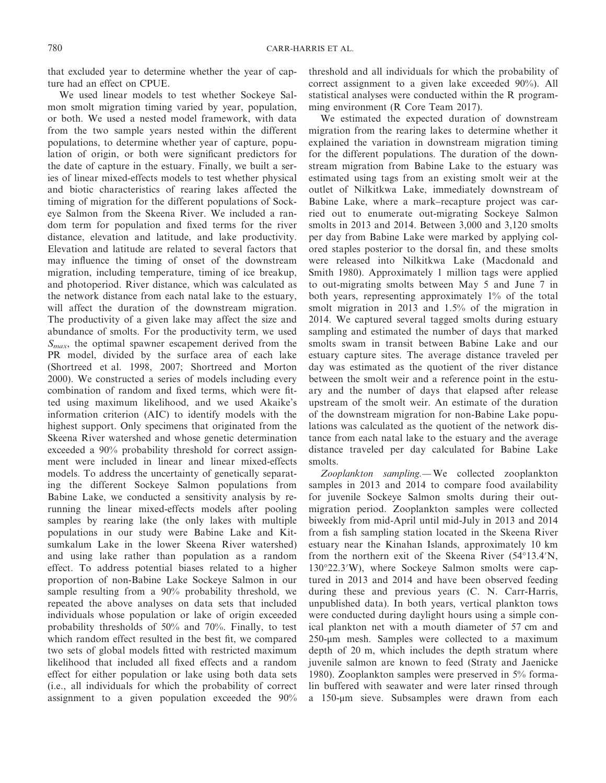that excluded year to determine whether the year of capture had an effect on CPUE.

We used linear models to test whether Sockeye Salmon smolt migration timing varied by year, population, or both. We used a nested model framework, with data from the two sample years nested within the different populations, to determine whether year of capture, population of origin, or both were significant predictors for the date of capture in the estuary. Finally, we built a series of linear mixed-effects models to test whether physical and biotic characteristics of rearing lakes affected the timing of migration for the different populations of Sockeye Salmon from the Skeena River. We included a random term for population and fixed terms for the river distance, elevation and latitude, and lake productivity. Elevation and latitude are related to several factors that may influence the timing of onset of the downstream migration, including temperature, timing of ice breakup, and photoperiod. River distance, which was calculated as the network distance from each natal lake to the estuary, will affect the duration of the downstream migration. The productivity of a given lake may affect the size and abundance of smolts. For the productivity term, we used *Smax*, the optimal spawner escapement derived from the PR model, divided by the surface area of each lake (Shortreed et al. 1998, 2007; Shortreed and Morton 2000). We constructed a series of models including every combination of random and fixed terms, which were fitted using maximum likelihood, and we used Akaike's information criterion (AIC) to identify models with the highest support. Only specimens that originated from the Skeena River watershed and whose genetic determination exceeded a 90% probability threshold for correct assignment were included in linear and linear mixed-effects models. To address the uncertainty of genetically separating the different Sockeye Salmon populations from Babine Lake, we conducted a sensitivity analysis by rerunning the linear mixed-effects models after pooling samples by rearing lake (the only lakes with multiple populations in our study were Babine Lake and Kitsumkalum Lake in the lower Skeena River watershed) and using lake rather than population as a random effect. To address potential biases related to a higher proportion of non-Babine Lake Sockeye Salmon in our sample resulting from a 90% probability threshold, we repeated the above analyses on data sets that included individuals whose population or lake of origin exceeded probability thresholds of 50% and 70%. Finally, to test which random effect resulted in the best fit, we compared two sets of global models fitted with restricted maximum likelihood that included all fixed effects and a random effect for either population or lake using both data sets (i.e., all individuals for which the probability of correct assignment to a given population exceeded the 90% threshold and all individuals for which the probability of correct assignment to a given lake exceeded 90%). All statistical analyses were conducted within the R programming environment (R Core Team 2017).

We estimated the expected duration of downstream migration from the rearing lakes to determine whether it explained the variation in downstream migration timing for the different populations. The duration of the downstream migration from Babine Lake to the estuary was estimated using tags from an existing smolt weir at the outlet of Nilkitkwa Lake, immediately downstream of Babine Lake, where a mark–recapture project was carried out to enumerate out-migrating Sockeye Salmon smolts in 2013 and 2014. Between 3,000 and 3,120 smolts per day from Babine Lake were marked by applying colored staples posterior to the dorsal fin, and these smolts were released into Nilkitkwa Lake (Macdonald and Smith 1980). Approximately 1 million tags were applied to out-migrating smolts between May 5 and June 7 in both years, representing approximately 1% of the total smolt migration in 2013 and 1.5% of the migration in 2014. We captured several tagged smolts during estuary sampling and estimated the number of days that marked smolts swam in transit between Babine Lake and our estuary capture sites. The average distance traveled per day was estimated as the quotient of the river distance between the smolt weir and a reference point in the estuary and the number of days that elapsed after release upstream of the smolt weir. An estimate of the duration of the downstream migration for non-Babine Lake populations was calculated as the quotient of the network distance from each natal lake to the estuary and the average distance traveled per day calculated for Babine Lake smolts.

*Zooplankton sampling.—* We collected zooplankton samples in 2013 and 2014 to compare food availability for juvenile Sockeye Salmon smolts during their outmigration period. Zooplankton samples were collected biweekly from mid-April until mid-July in 2013 and 2014 from a fish sampling station located in the Skeena River estuary near the Kinahan Islands, approximately 10 km from the northern exit of the Skeena River (54°13.4′N, 130°22.3′W), where Sockeye Salmon smolts were captured in 2013 and 2014 and have been observed feeding during these and previous years (C. N. Carr-Harris, unpublished data). In both years, vertical plankton tows were conducted during daylight hours using a simple conical plankton net with a mouth diameter of 57 cm and 250-μm mesh. Samples were collected to a maximum depth of 20 m, which includes the depth stratum where juvenile salmon are known to feed (Straty and Jaenicke 1980). Zooplankton samples were preserved in 5% formalin buffered with seawater and were later rinsed through a 150-μm sieve. Subsamples were drawn from each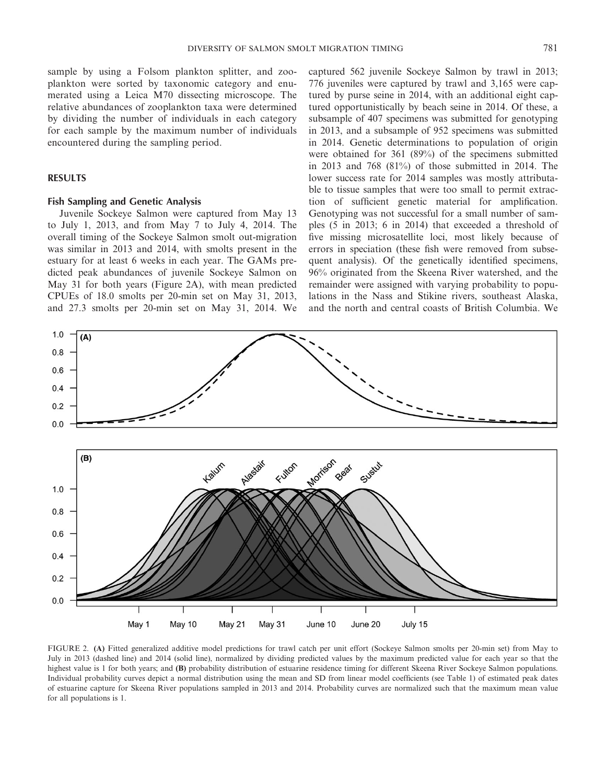sample by using a Folsom plankton splitter, and zooplankton were sorted by taxonomic category and enumerated using a Leica M70 dissecting microscope. The relative abundances of zooplankton taxa were determined by dividing the number of individuals in each category for each sample by the maximum number of individuals encountered during the sampling period.

## **RESULTS**

## **Fish Sampling and Genetic Analysis**

Juvenile Sockeye Salmon were captured from May 13 to July 1, 2013, and from May 7 to July 4, 2014. The overall timing of the Sockeye Salmon smolt out-migration was similar in 2013 and 2014, with smolts present in the estuary for at least 6 weeks in each year. The GAMs predicted peak abundances of juvenile Sockeye Salmon on May 31 for both years (Figure 2A), with mean predicted CPUEs of 18.0 smolts per 20-min set on May 31, 2013, and 27.3 smolts per 20-min set on May 31, 2014. We captured 562 juvenile Sockeye Salmon by trawl in 2013; 776 juveniles were captured by trawl and 3,165 were captured by purse seine in 2014, with an additional eight captured opportunistically by beach seine in 2014. Of these, a subsample of 407 specimens was submitted for genotyping in 2013, and a subsample of 952 specimens was submitted in 2014. Genetic determinations to population of origin were obtained for 361 (89%) of the specimens submitted in 2013 and 768 (81%) of those submitted in 2014. The lower success rate for 2014 samples was mostly attributable to tissue samples that were too small to permit extraction of sufficient genetic material for amplification. Genotyping was not successful for a small number of samples (5 in 2013; 6 in 2014) that exceeded a threshold of five missing microsatellite loci, most likely because of errors in speciation (these fish were removed from subsequent analysis). Of the genetically identified specimens, 96% originated from the Skeena River watershed, and the remainder were assigned with varying probability to populations in the Nass and Stikine rivers, southeast Alaska, and the north and central coasts of British Columbia. We



FIGURE 2. **(A)** Fitted generalized additive model predictions for trawl catch per unit effort (Sockeye Salmon smolts per 20-min set) from May to July in 2013 (dashed line) and 2014 (solid line), normalized by dividing predicted values by the maximum predicted value for each year so that the highest value is 1 for both years; and **(B)** probability distribution of estuarine residence timing for different Skeena River Sockeye Salmon populations. Individual probability curves depict a normal distribution using the mean and SD from linear model coefficients (see Table 1) of estimated peak dates of estuarine capture for Skeena River populations sampled in 2013 and 2014. Probability curves are normalized such that the maximum mean value for all populations is 1.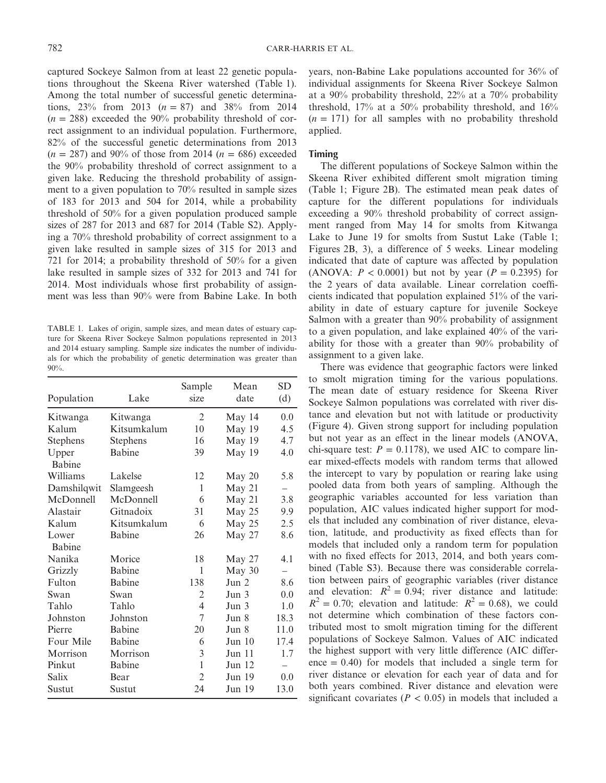captured Sockeye Salmon from at least 22 genetic populations throughout the Skeena River watershed (Table 1). Among the total number of successful genetic determinations,  $23\%$  from 2013 ( $n = 87$ ) and  $38\%$  from 2014  $(n = 288)$  exceeded the 90% probability threshold of correct assignment to an individual population. Furthermore, 82% of the successful genetic determinations from 2013  $(n = 287)$  and 90% of those from 2014  $(n = 686)$  exceeded the 90% probability threshold of correct assignment to a given lake. Reducing the threshold probability of assignment to a given population to 70% resulted in sample sizes of 183 for 2013 and 504 for 2014, while a probability threshold of 50% for a given population produced sample sizes of 287 for 2013 and 687 for 2014 (Table S2). Applying a 70% threshold probability of correct assignment to a given lake resulted in sample sizes of 315 for 2013 and 721 for 2014; a probability threshold of 50% for a given lake resulted in sample sizes of 332 for 2013 and 741 for 2014. Most individuals whose first probability of assignment was less than 90% were from Babine Lake. In both

TABLE 1. Lakes of origin, sample sizes, and mean dates of estuary capture for Skeena River Sockeye Salmon populations represented in 2013 and 2014 estuary sampling. Sample size indicates the number of individuals for which the probability of genetic determination was greater than 90%.

| Population    | Lake          | Sample<br>size | Mean<br>date | <b>SD</b><br>(d) |
|---------------|---------------|----------------|--------------|------------------|
| Kitwanga      | Kitwanga      | 2              | May 14       | 0.0              |
| Kalum         | Kitsumkalum   | 10             | May 19       | 4.5              |
| Stephens      | Stephens      | 16             | May 19       | 4.7              |
| Upper         | <b>Babine</b> | 39             | May 19       | 4.0              |
| <b>Babine</b> |               |                |              |                  |
| Williams      | Lakelse       | 12             | May 20       | 5.8              |
| Damshilqwit   | Slamgeesh     | 1              | May 21       |                  |
| McDonnell     | McDonnell     | 6              | May 21       | 3.8              |
| Alastair      | Gitnadoix     | 31             | May 25       | 9.9              |
| Kalum         | Kitsumkalum   | 6              | May 25       | 2.5              |
| Lower         | <b>Babine</b> | 26             | May 27       | 8.6              |
| <b>Babine</b> |               |                |              |                  |
| Nanika        | Morice        | 18             | May 27       | 4.1              |
| Grizzly       | <b>Babine</b> | 1              | May 30       |                  |
| Fulton        | Babine        | 138            | Jun 2        | 8.6              |
| Swan          | Swan          | 2              | Jun 3        | 0.0              |
| Tahlo         | Tahlo         | 4              | Jun 3        | 1.0              |
| Johnston      | Johnston      | 7              | Jun 8        | 18.3             |
| Pierre        | <b>Babine</b> | 20             | Jun 8        | 11.0             |
| Four Mile     | Babine        | 6              | Jun 10       | 17.4             |
| Morrison      | Morrison      | 3              | Jun 11       | 1.7              |
| Pinkut        | <b>Babine</b> | $\mathbf{1}$   | Jun 12       |                  |
| Salix         | Bear          | $\overline{2}$ | Jun 19       | 0.0              |
| Sustut        | Sustut        | 24             | Jun 19       | 13.0             |

years, non-Babine Lake populations accounted for 36% of individual assignments for Skeena River Sockeye Salmon at a 90% probability threshold, 22% at a 70% probability threshold, 17% at a 50% probability threshold, and 16%  $(n = 171)$  for all samples with no probability threshold applied.

#### **Timing**

The different populations of Sockeye Salmon within the Skeena River exhibited different smolt migration timing (Table 1; Figure 2B). The estimated mean peak dates of capture for the different populations for individuals exceeding a 90% threshold probability of correct assignment ranged from May 14 for smolts from Kitwanga Lake to June 19 for smolts from Sustut Lake (Table 1; Figures 2B, 3), a difference of 5 weeks. Linear modeling indicated that date of capture was affected by population (ANOVA:  $P < 0.0001$ ) but not by year ( $P = 0.2395$ ) for the 2 years of data available. Linear correlation coefficients indicated that population explained 51% of the variability in date of estuary capture for juvenile Sockeye Salmon with a greater than 90% probability of assignment to a given population, and lake explained 40% of the variability for those with a greater than 90% probability of assignment to a given lake.

There was evidence that geographic factors were linked to smolt migration timing for the various populations. The mean date of estuary residence for Skeena River Sockeye Salmon populations was correlated with river distance and elevation but not with latitude or productivity (Figure 4). Given strong support for including population but not year as an effect in the linear models (ANOVA, chi-square test:  $P = 0.1178$ , we used AIC to compare linear mixed-effects models with random terms that allowed the intercept to vary by population or rearing lake using pooled data from both years of sampling. Although the geographic variables accounted for less variation than population, AIC values indicated higher support for models that included any combination of river distance, elevation, latitude, and productivity as fixed effects than for models that included only a random term for population with no fixed effects for 2013, 2014, and both years combined (Table S3). Because there was considerable correlation between pairs of geographic variables (river distance and elevation:  $R^2 = 0.94$ ; river distance and latitude:  $R^2 = 0.70$ ; elevation and latitude:  $R^2 = 0.68$ ), we could not determine which combination of these factors contributed most to smolt migration timing for the different populations of Sockeye Salmon. Values of AIC indicated the highest support with very little difference (AIC differ $e^0 = 0.40$  for models that included a single term for river distance or elevation for each year of data and for both years combined. River distance and elevation were significant covariates ( $P < 0.05$ ) in models that included a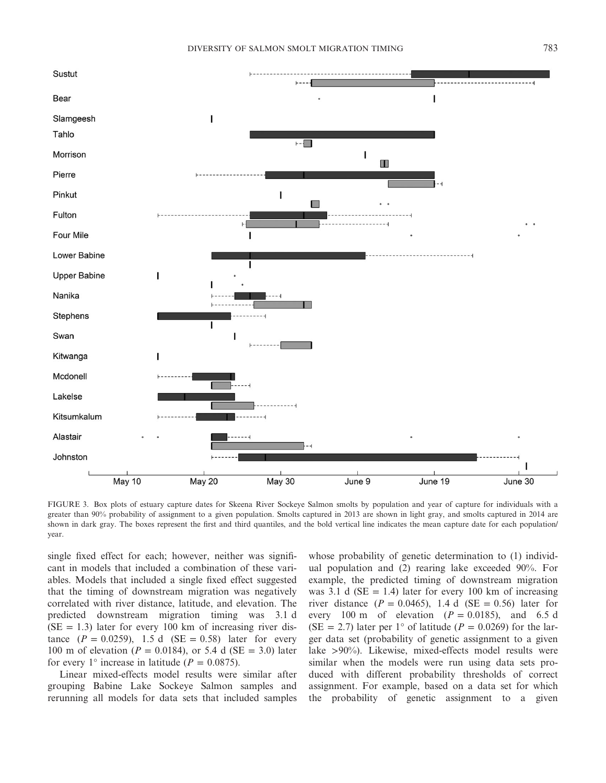

FIGURE 3. Box plots of estuary capture dates for Skeena River Sockeye Salmon smolts by population and year of capture for individuals with a greater than 90% probability of assignment to a given population. Smolts captured in 2013 are shown in light gray, and smolts captured in 2014 are shown in dark gray. The boxes represent the first and third quantiles, and the bold vertical line indicates the mean capture date for each population/ year.

single fixed effect for each; however, neither was significant in models that included a combination of these variables. Models that included a single fixed effect suggested that the timing of downstream migration was negatively correlated with river distance, latitude, and elevation. The predicted downstream migration timing was 3.1 d  $(SE = 1.3)$  later for every 100 km of increasing river distance  $(P = 0.0259)$ , 1.5 d  $(SE = 0.58)$  later for every 100 m of elevation ( $P = 0.0184$ ), or 5.4 d (SE = 3.0) later for every 1° increase in latitude ( $P = 0.0875$ ).

Linear mixed-effects model results were similar after grouping Babine Lake Sockeye Salmon samples and rerunning all models for data sets that included samples

whose probability of genetic determination to (1) individual population and (2) rearing lake exceeded 90%. For example, the predicted timing of downstream migration was 3.1 d ( $SE = 1.4$ ) later for every 100 km of increasing river distance  $(P = 0.0465)$ , 1.4 d  $(SE = 0.56)$  later for every 100 m of elevation  $(P = 0.0185)$ , and 6.5 d  $(SE = 2.7)$  later per 1° of latitude ( $P = 0.0269$ ) for the larger data set (probability of genetic assignment to a given lake >90%). Likewise, mixed-effects model results were similar when the models were run using data sets produced with different probability thresholds of correct assignment. For example, based on a data set for which the probability of genetic assignment to a given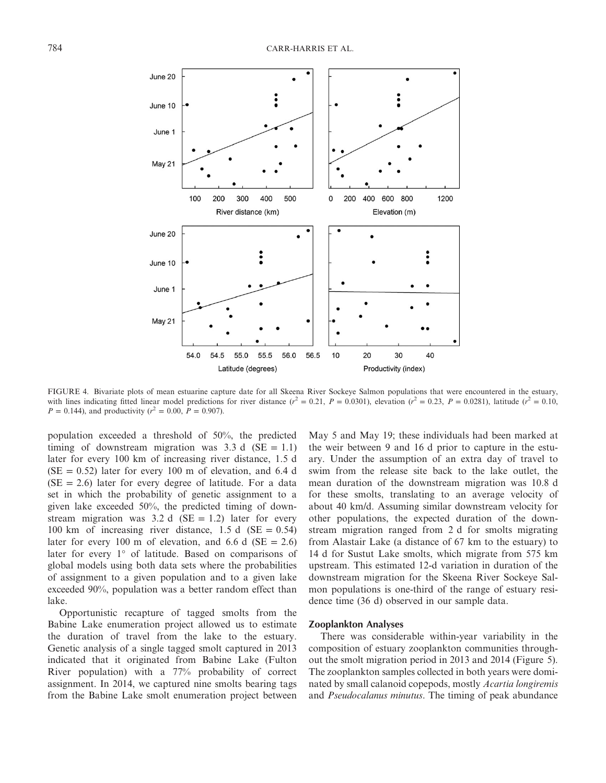

FIGURE 4. Bivariate plots of mean estuarine capture date for all Skeena River Sockeye Salmon populations that were encountered in the estuary, with lines indicating fitted linear model predictions for river distance  $(r^2 = 0.21, P = 0.0301)$ , elevation  $(r^2 = 0.23, P = 0.0281)$ , latitude  $(r^2 = 0.10, P = 0.0281)$  $P = 0.144$ ), and productivity ( $r^2 = 0.00$ ,  $P = 0.907$ ).

population exceeded a threshold of 50%, the predicted timing of downstream migration was  $3.3 d$  (SE = 1.1) later for every 100 km of increasing river distance, 1.5 d  $(SE = 0.52)$  later for every 100 m of elevation, and 6.4 d  $(SE = 2.6)$  later for every degree of latitude. For a data set in which the probability of genetic assignment to a given lake exceeded 50%, the predicted timing of downstream migration was  $3.2 d$  (SE = 1.2) later for every 100 km of increasing river distance, 1.5 d (SE =  $0.54$ ) later for every 100 m of elevation, and 6.6 d ( $SE = 2.6$ ) later for every 1° of latitude. Based on comparisons of global models using both data sets where the probabilities of assignment to a given population and to a given lake exceeded 90%, population was a better random effect than lake.

Opportunistic recapture of tagged smolts from the Babine Lake enumeration project allowed us to estimate the duration of travel from the lake to the estuary. Genetic analysis of a single tagged smolt captured in 2013 indicated that it originated from Babine Lake (Fulton River population) with a 77% probability of correct assignment. In 2014, we captured nine smolts bearing tags from the Babine Lake smolt enumeration project between

May 5 and May 19; these individuals had been marked at the weir between 9 and 16 d prior to capture in the estuary. Under the assumption of an extra day of travel to swim from the release site back to the lake outlet, the mean duration of the downstream migration was 10.8 d for these smolts, translating to an average velocity of about 40 km/d. Assuming similar downstream velocity for other populations, the expected duration of the downstream migration ranged from 2 d for smolts migrating from Alastair Lake (a distance of 67 km to the estuary) to 14 d for Sustut Lake smolts, which migrate from 575 km upstream. This estimated 12-d variation in duration of the downstream migration for the Skeena River Sockeye Salmon populations is one-third of the range of estuary residence time (36 d) observed in our sample data.

#### **Zooplankton Analyses**

There was considerable within-year variability in the composition of estuary zooplankton communities throughout the smolt migration period in 2013 and 2014 (Figure 5). The zooplankton samples collected in both years were dominated by small calanoid copepods, mostly *Acartia longiremis* and *Pseudocalanus minutus*. The timing of peak abundance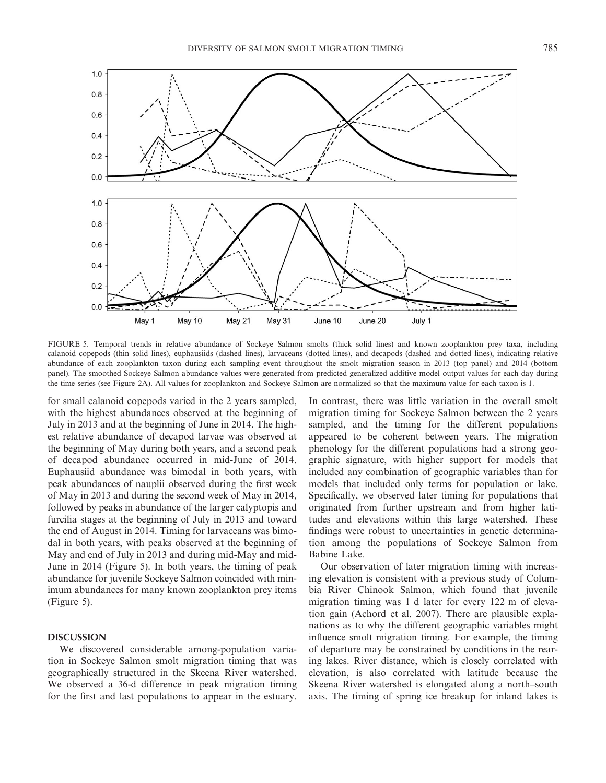

FIGURE 5. Temporal trends in relative abundance of Sockeye Salmon smolts (thick solid lines) and known zooplankton prey taxa, including calanoid copepods (thin solid lines), euphausiids (dashed lines), larvaceans (dotted lines), and decapods (dashed and dotted lines), indicating relative abundance of each zooplankton taxon during each sampling event throughout the smolt migration season in 2013 (top panel) and 2014 (bottom panel). The smoothed Sockeye Salmon abundance values were generated from predicted generalized additive model output values for each day during the time series (see Figure 2A). All values for zooplankton and Sockeye Salmon are normalized so that the maximum value for each taxon is 1.

for small calanoid copepods varied in the 2 years sampled, with the highest abundances observed at the beginning of July in 2013 and at the beginning of June in 2014. The highest relative abundance of decapod larvae was observed at the beginning of May during both years, and a second peak of decapod abundance occurred in mid-June of 2014. Euphausiid abundance was bimodal in both years, with peak abundances of nauplii observed during the first week of May in 2013 and during the second week of May in 2014, followed by peaks in abundance of the larger calyptopis and furcilia stages at the beginning of July in 2013 and toward the end of August in 2014. Timing for larvaceans was bimodal in both years, with peaks observed at the beginning of May and end of July in 2013 and during mid-May and mid-June in 2014 (Figure 5). In both years, the timing of peak abundance for juvenile Sockeye Salmon coincided with minimum abundances for many known zooplankton prey items (Figure 5).

## **DISCUSSION**

We discovered considerable among-population variation in Sockeye Salmon smolt migration timing that was geographically structured in the Skeena River watershed. We observed a 36-d difference in peak migration timing for the first and last populations to appear in the estuary. In contrast, there was little variation in the overall smolt migration timing for Sockeye Salmon between the 2 years sampled, and the timing for the different populations appeared to be coherent between years. The migration phenology for the different populations had a strong geographic signature, with higher support for models that included any combination of geographic variables than for models that included only terms for population or lake. Specifically, we observed later timing for populations that originated from further upstream and from higher latitudes and elevations within this large watershed. These findings were robust to uncertainties in genetic determination among the populations of Sockeye Salmon from Babine Lake.

Our observation of later migration timing with increasing elevation is consistent with a previous study of Columbia River Chinook Salmon, which found that juvenile migration timing was 1 d later for every 122 m of elevation gain (Achord et al. 2007). There are plausible explanations as to why the different geographic variables might influence smolt migration timing. For example, the timing of departure may be constrained by conditions in the rearing lakes. River distance, which is closely correlated with elevation, is also correlated with latitude because the Skeena River watershed is elongated along a north–south axis. The timing of spring ice breakup for inland lakes is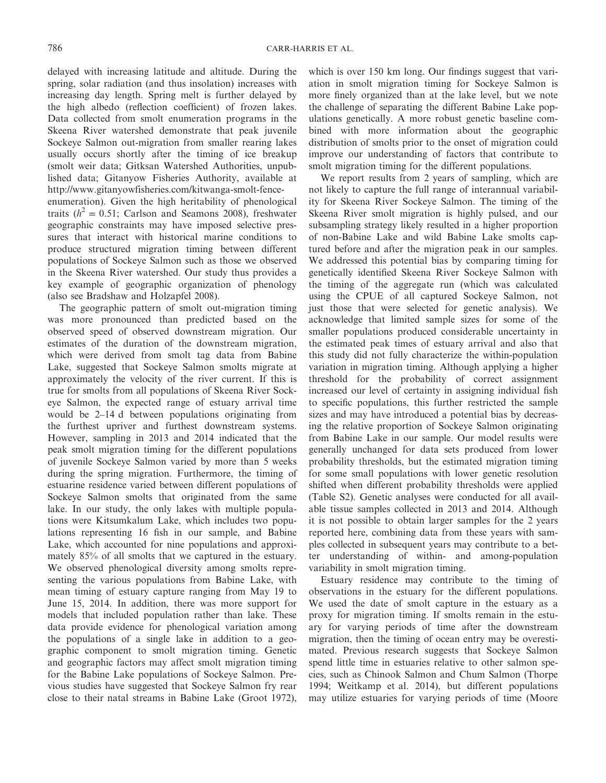delayed with increasing latitude and altitude. During the spring, solar radiation (and thus insolation) increases with increasing day length. Spring melt is further delayed by the high albedo (reflection coefficient) of frozen lakes. Data collected from smolt enumeration programs in the Skeena River watershed demonstrate that peak juvenile Sockeye Salmon out-migration from smaller rearing lakes usually occurs shortly after the timing of ice breakup (smolt weir data; Gitksan Watershed Authorities, unpublished data; Gitanyow Fisheries Authority, available at [http://www.gitanyowfisheries.com/kitwanga-smolt-fence](http://www.gitanyowfisheries.com/kitwanga-smolt-fence-enumeration)[enumeration](http://www.gitanyowfisheries.com/kitwanga-smolt-fence-enumeration)). Given the high heritability of phenological traits  $(h^2 = 0.51$ ; Carlson and Seamons 2008), freshwater geographic constraints may have imposed selective pressures that interact with historical marine conditions to produce structured migration timing between different populations of Sockeye Salmon such as those we observed in the Skeena River watershed. Our study thus provides a key example of geographic organization of phenology

(also see Bradshaw and Holzapfel 2008). The geographic pattern of smolt out-migration timing was more pronounced than predicted based on the observed speed of observed downstream migration. Our estimates of the duration of the downstream migration, which were derived from smolt tag data from Babine Lake, suggested that Sockeye Salmon smolts migrate at approximately the velocity of the river current. If this is true for smolts from all populations of Skeena River Sockeye Salmon, the expected range of estuary arrival time would be 2–14 d between populations originating from the furthest upriver and furthest downstream systems. However, sampling in 2013 and 2014 indicated that the peak smolt migration timing for the different populations of juvenile Sockeye Salmon varied by more than 5 weeks during the spring migration. Furthermore, the timing of estuarine residence varied between different populations of Sockeye Salmon smolts that originated from the same lake. In our study, the only lakes with multiple populations were Kitsumkalum Lake, which includes two populations representing 16 fish in our sample, and Babine Lake, which accounted for nine populations and approximately 85% of all smolts that we captured in the estuary. We observed phenological diversity among smolts representing the various populations from Babine Lake, with mean timing of estuary capture ranging from May 19 to June 15, 2014. In addition, there was more support for models that included population rather than lake. These data provide evidence for phenological variation among the populations of a single lake in addition to a geographic component to smolt migration timing. Genetic and geographic factors may affect smolt migration timing for the Babine Lake populations of Sockeye Salmon. Previous studies have suggested that Sockeye Salmon fry rear close to their natal streams in Babine Lake (Groot 1972), which is over 150 km long. Our findings suggest that variation in smolt migration timing for Sockeye Salmon is more finely organized than at the lake level, but we note the challenge of separating the different Babine Lake populations genetically. A more robust genetic baseline combined with more information about the geographic distribution of smolts prior to the onset of migration could improve our understanding of factors that contribute to smolt migration timing for the different populations.

We report results from 2 years of sampling, which are not likely to capture the full range of interannual variability for Skeena River Sockeye Salmon. The timing of the Skeena River smolt migration is highly pulsed, and our subsampling strategy likely resulted in a higher proportion of non-Babine Lake and wild Babine Lake smolts captured before and after the migration peak in our samples. We addressed this potential bias by comparing timing for genetically identified Skeena River Sockeye Salmon with the timing of the aggregate run (which was calculated using the CPUE of all captured Sockeye Salmon, not just those that were selected for genetic analysis). We acknowledge that limited sample sizes for some of the smaller populations produced considerable uncertainty in the estimated peak times of estuary arrival and also that this study did not fully characterize the within-population variation in migration timing. Although applying a higher threshold for the probability of correct assignment increased our level of certainty in assigning individual fish to specific populations, this further restricted the sample sizes and may have introduced a potential bias by decreasing the relative proportion of Sockeye Salmon originating from Babine Lake in our sample. Our model results were generally unchanged for data sets produced from lower probability thresholds, but the estimated migration timing for some small populations with lower genetic resolution shifted when different probability thresholds were applied (Table S2). Genetic analyses were conducted for all available tissue samples collected in 2013 and 2014. Although it is not possible to obtain larger samples for the 2 years reported here, combining data from these years with samples collected in subsequent years may contribute to a better understanding of within- and among-population variability in smolt migration timing.

Estuary residence may contribute to the timing of observations in the estuary for the different populations. We used the date of smolt capture in the estuary as a proxy for migration timing. If smolts remain in the estuary for varying periods of time after the downstream migration, then the timing of ocean entry may be overestimated. Previous research suggests that Sockeye Salmon spend little time in estuaries relative to other salmon species, such as Chinook Salmon and Chum Salmon (Thorpe 1994; Weitkamp et al. 2014), but different populations may utilize estuaries for varying periods of time (Moore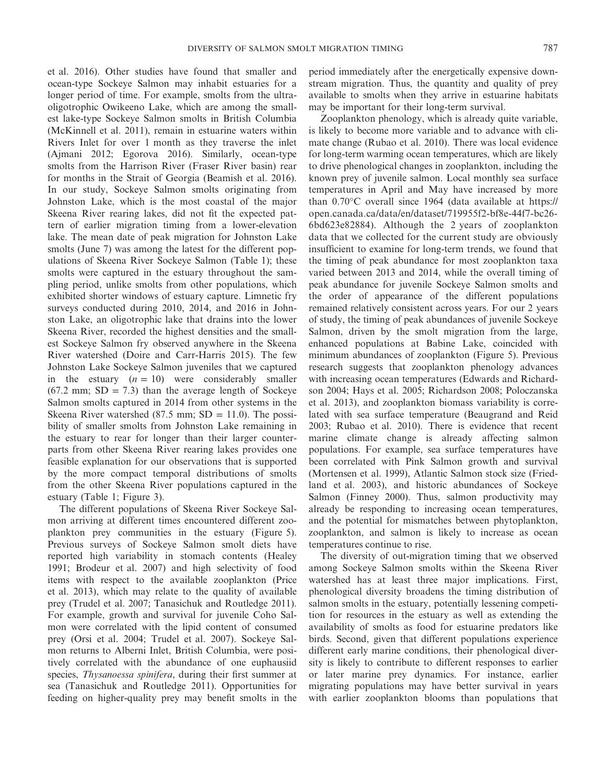et al. 2016). Other studies have found that smaller and ocean-type Sockeye Salmon may inhabit estuaries for a longer period of time. For example, smolts from the ultraoligotrophic Owikeeno Lake, which are among the smallest lake-type Sockeye Salmon smolts in British Columbia (McKinnell et al. 2011), remain in estuarine waters within Rivers Inlet for over 1 month as they traverse the inlet (Ajmani 2012; Egorova 2016). Similarly, ocean-type smolts from the Harrison River (Fraser River basin) rear for months in the Strait of Georgia (Beamish et al. 2016). In our study, Sockeye Salmon smolts originating from Johnston Lake, which is the most coastal of the major Skeena River rearing lakes, did not fit the expected pattern of earlier migration timing from a lower-elevation lake. The mean date of peak migration for Johnston Lake smolts (June 7) was among the latest for the different populations of Skeena River Sockeye Salmon (Table 1); these smolts were captured in the estuary throughout the sampling period, unlike smolts from other populations, which exhibited shorter windows of estuary capture. Limnetic fry surveys conducted during 2010, 2014, and 2016 in Johnston Lake, an oligotrophic lake that drains into the lower Skeena River, recorded the highest densities and the smallest Sockeye Salmon fry observed anywhere in the Skeena River watershed (Doire and Carr-Harris 2015). The few Johnston Lake Sockeye Salmon juveniles that we captured in the estuary  $(n = 10)$  were considerably smaller  $(67.2 \text{ mm}; SD = 7.3)$  than the average length of Sockeye Salmon smolts captured in 2014 from other systems in the Skeena River watershed  $(87.5 \text{ mm}; SD = 11.0)$ . The possibility of smaller smolts from Johnston Lake remaining in the estuary to rear for longer than their larger counterparts from other Skeena River rearing lakes provides one feasible explanation for our observations that is supported by the more compact temporal distributions of smolts from the other Skeena River populations captured in the estuary (Table 1; Figure 3).

The different populations of Skeena River Sockeye Salmon arriving at different times encountered different zooplankton prey communities in the estuary (Figure 5). Previous surveys of Sockeye Salmon smolt diets have reported high variability in stomach contents (Healey 1991; Brodeur et al. 2007) and high selectivity of food items with respect to the available zooplankton (Price et al. 2013), which may relate to the quality of available prey (Trudel et al. 2007; Tanasichuk and Routledge 2011). For example, growth and survival for juvenile Coho Salmon were correlated with the lipid content of consumed prey (Orsi et al. 2004; Trudel et al. 2007). Sockeye Salmon returns to Alberni Inlet, British Columbia, were positively correlated with the abundance of one euphausiid species, *Thysanoessa spinifera*, during their first summer at sea (Tanasichuk and Routledge 2011). Opportunities for feeding on higher-quality prey may benefit smolts in the period immediately after the energetically expensive downstream migration. Thus, the quantity and quality of prey available to smolts when they arrive in estuarine habitats may be important for their long-term survival.

Zooplankton phenology, which is already quite variable, is likely to become more variable and to advance with climate change (Rubao et al. 2010). There was local evidence for long-term warming ocean temperatures, which are likely to drive phenological changes in zooplankton, including the known prey of juvenile salmon. Local monthly sea surface temperatures in April and May have increased by more than 0.70°C overall since 1964 (data available at [https://](https://open.canada.ca/data/en/dataset/719955f2-bf8e-44f7-bc26-6bd623e82884) [open.canada.ca/data/en/dataset/719955f2-bf8e-44f7-bc26-](https://open.canada.ca/data/en/dataset/719955f2-bf8e-44f7-bc26-6bd623e82884) [6bd623e82884](https://open.canada.ca/data/en/dataset/719955f2-bf8e-44f7-bc26-6bd623e82884)). Although the 2 years of zooplankton data that we collected for the current study are obviously insufficient to examine for long-term trends, we found that the timing of peak abundance for most zooplankton taxa varied between 2013 and 2014, while the overall timing of peak abundance for juvenile Sockeye Salmon smolts and the order of appearance of the different populations remained relatively consistent across years. For our 2 years of study, the timing of peak abundances of juvenile Sockeye Salmon, driven by the smolt migration from the large, enhanced populations at Babine Lake, coincided with minimum abundances of zooplankton (Figure 5). Previous research suggests that zooplankton phenology advances with increasing ocean temperatures (Edwards and Richardson 2004; Hays et al. 2005; Richardson 2008; Poloczanska et al. 2013), and zooplankton biomass variability is correlated with sea surface temperature (Beaugrand and Reid 2003; Rubao et al. 2010). There is evidence that recent marine climate change is already affecting salmon populations. For example, sea surface temperatures have been correlated with Pink Salmon growth and survival (Mortensen et al. 1999), Atlantic Salmon stock size (Friedland et al. 2003), and historic abundances of Sockeye Salmon (Finney 2000). Thus, salmon productivity may already be responding to increasing ocean temperatures, and the potential for mismatches between phytoplankton, zooplankton, and salmon is likely to increase as ocean temperatures continue to rise.

The diversity of out-migration timing that we observed among Sockeye Salmon smolts within the Skeena River watershed has at least three major implications. First, phenological diversity broadens the timing distribution of salmon smolts in the estuary, potentially lessening competition for resources in the estuary as well as extending the availability of smolts as food for estuarine predators like birds. Second, given that different populations experience different early marine conditions, their phenological diversity is likely to contribute to different responses to earlier or later marine prey dynamics. For instance, earlier migrating populations may have better survival in years with earlier zooplankton blooms than populations that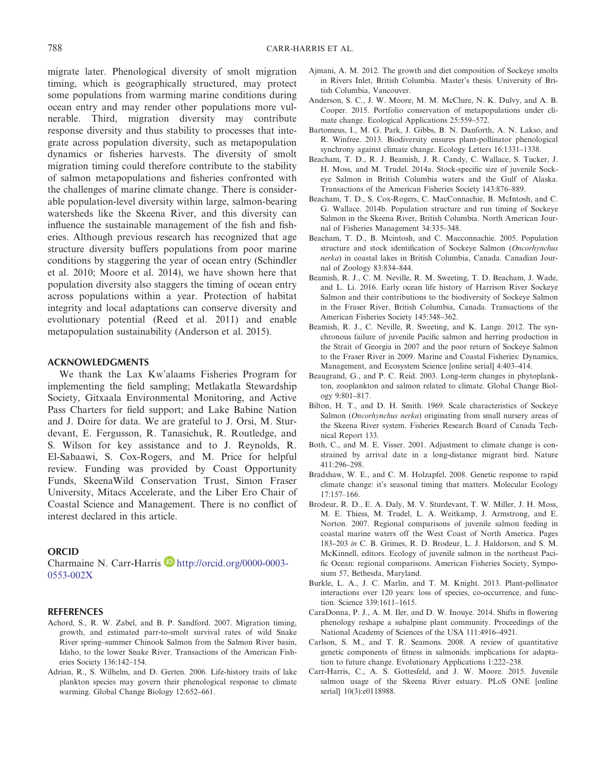migrate later. Phenological diversity of smolt migration timing, which is geographically structured, may protect some populations from warming marine conditions during ocean entry and may render other populations more vulnerable. Third, migration diversity may contribute response diversity and thus stability to processes that integrate across population diversity, such as metapopulation dynamics or fisheries harvests. The diversity of smolt migration timing could therefore contribute to the stability of salmon metapopulations and fisheries confronted with the challenges of marine climate change. There is considerable population-level diversity within large, salmon-bearing watersheds like the Skeena River, and this diversity can influence the sustainable management of the fish and fisheries. Although previous research has recognized that age structure diversity buffers populations from poor marine conditions by staggering the year of ocean entry (Schindler et al. 2010; Moore et al. 2014), we have shown here that population diversity also staggers the timing of ocean entry across populations within a year. Protection of habitat integrity and local adaptations can conserve diversity and evolutionary potential (Reed et al. 2011) and enable metapopulation sustainability (Anderson et al. 2015).

#### **ACKNOWLEDGMENTS**

We thank the Lax Kw'alaams Fisheries Program for implementing the field sampling; Metlakatla Stewardship Society, Gitxaala Environmental Monitoring, and Active Pass Charters for field support; and Lake Babine Nation and J. Doire for data. We are grateful to J. Orsi, M. Sturdevant, E. Fergusson, R. Tanasichuk, R. Routledge, and S. Wilson for key assistance and to J. Reynolds, R. El-Sabaawi, S. Cox-Rogers, and M. Price for helpful review. Funding was provided by Coast Opportunity Funds, SkeenaWild Conservation Trust, Simon Fraser University, Mitacs Accelerate, and the Liber Ero Chair of Coastal Science and Management. There is no conflict of interest declared in this article.

#### **ORCID**

Charmaine N. Carr-Harris http://orcid.org/0000-0003-0553-002X

#### **REFERENCES**

- Achord, S., R. W. Zabel, and B. P. Sandford. 2007. Migration timing, growth, and estimated parr-to-smolt survival rates of wild Snake River spring–summer Chinook Salmon from the Salmon River basin, Idaho, to the lower Snake River. Transactions of the American Fisheries Society 136:142–154.
- Adrian, R., S. Wilhelm, and D. Gerten. 2006. Life-history traits of lake plankton species may govern their phenological response to climate warming. Global Change Biology 12:652–661.
- Ajmani, A. M. 2012. The growth and diet composition of Sockeye smolts in Rivers Inlet, British Columbia. Master's thesis. University of British Columbia, Vancouver.
- Anderson, S. C., J. W. Moore, M. M. McClure, N. K. Dulvy, and A. B. Cooper. 2015. Portfolio conservation of metapopulations under climate change. Ecological Applications 25:559–572.
- Bartomeus, I., M. G. Park, J. Gibbs, B. N. Danforth, A. N. Lakso, and R. Winfree. 2013. Biodiversity ensures plant-pollinator phenological synchrony against climate change. Ecology Letters 16:1331–1338.
- Beacham, T. D., R. J. Beamish, J. R. Candy, C. Wallace, S. Tucker, J. H. Moss, and M. Trudel. 2014a. Stock-specific size of juvenile Sockeye Salmon in British Columbia waters and the Gulf of Alaska. Transactions of the American Fisheries Society 143:876–889.
- Beacham, T. D., S. Cox-Rogers, C. MacConnachie, B. McIntosh, and C. G. Wallace. 2014b. Population structure and run timing of Sockeye Salmon in the Skeena River, British Columbia. North American Journal of Fisheries Management 34:335–348.
- Beacham, T. D., B. Mcintosh, and C. Macconnachie. 2005. Population structure and stock identification of Sockeye Salmon (*Oncorhynchus nerka*) in coastal lakes in British Columbia, Canada. Canadian Journal of Zoology 83:834–844.
- Beamish, R. J., C. M. Neville, R. M. Sweeting, T. D. Beacham, J. Wade, and L. Li. 2016. Early ocean life history of Harrison River Sockeye Salmon and their contributions to the biodiversity of Sockeye Salmon in the Fraser River, British Columbia, Canada. Transactions of the American Fisheries Society 145:348–362.
- Beamish, R. J., C. Neville, R. Sweeting, and K. Lange. 2012. The synchronous failure of juvenile Pacific salmon and herring production in the Strait of Georgia in 2007 and the poor return of Sockeye Salmon to the Fraser River in 2009. Marine and Coastal Fisheries: Dynamics, Management, and Ecosystem Science [online serial] 4:403–414.
- Beaugrand, G., and P. C. Reid. 2003. Long-term changes in phytoplankton, zooplankton and salmon related to climate. Global Change Biology 9:801–817.
- Bilton, H. T., and D. H. Smith. 1969. Scale characteristics of Sockeye Salmon (*Oncorhynchus nerka*) originating from small nursery areas of the Skeena River system. Fisheries Research Board of Canada Technical Report 133.
- Both, C., and M. E. Visser. 2001. Adjustment to climate change is constrained by arrival date in a long-distance migrant bird. Nature 411:296–298.
- Bradshaw, W. E., and C. M. Holzapfel. 2008. Genetic response to rapid climate change: it's seasonal timing that matters. Molecular Ecology 17:157–166.
- Brodeur, R. D., E. A. Daly, M. V. Sturdevant, T. W. Miller, J. H. Moss, M. E. Thiess, M. Trudel, L. A. Weitkamp, J. Armstrong, and E. Norton. 2007. Regional comparisons of juvenile salmon feeding in coastal marine waters off the West Coast of North America. Pages 183–203 *in* C. B. Grimes, R. D. Brodeur, L. J. Haldorson, and S. M. McKinnell, editors. Ecology of juvenile salmon in the northeast Pacific Ocean: regional comparisons. American Fisheries Society, Symposium 57, Bethesda, Maryland.
- Burkle, L. A., J. C. Marlin, and T. M. Knight. 2013. Plant-pollinator interactions over 120 years: loss of species, co-occurrence, and function. Science 339:1611–1615.
- CaraDonna, P. J., A. M. Iler, and D. W. Inouye. 2014. Shifts in flowering phenology reshape a subalpine plant community. Proceedings of the National Academy of Sciences of the USA 111:4916–4921.
- Carlson, S. M., and T. R. Seamons. 2008. A review of quantitative genetic components of fitness in salmonids: implications for adaptation to future change. Evolutionary Applications 1:222–238.
- Carr-Harris, C., A. S. Gottesfeld, and J. W. Moore. 2015. Juvenile salmon usage of the Skeena River estuary. PLoS ONE [online serial] 10(3):e0118988.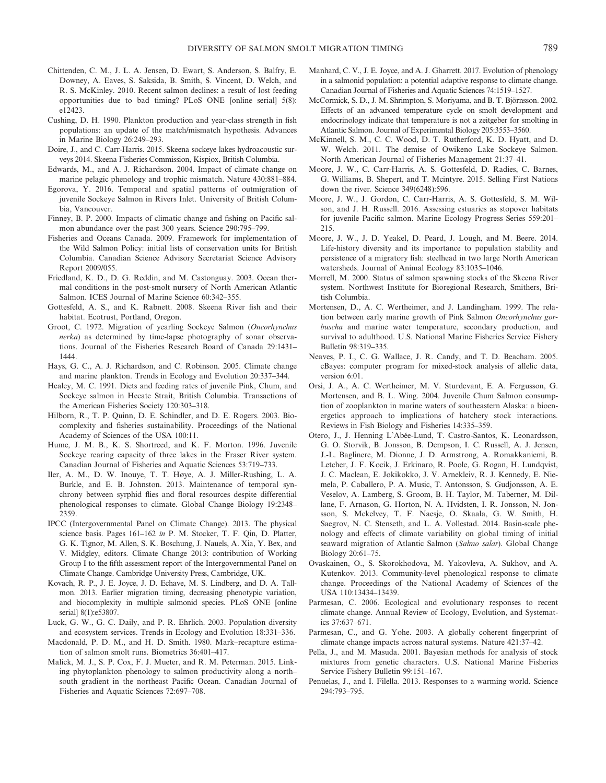- Chittenden, C. M., J. L. A. Jensen, D. Ewart, S. Anderson, S. Balfry, E. Downey, A. Eaves, S. Saksida, B. Smith, S. Vincent, D. Welch, and R. S. McKinley. 2010. Recent salmon declines: a result of lost feeding opportunities due to bad timing? PLoS ONE [online serial] 5(8): e12423.
- Cushing, D. H. 1990. Plankton production and year-class strength in fish populations: an update of the match/mismatch hypothesis. Advances in Marine Biology 26:249–293.
- Doire, J., and C. Carr-Harris. 2015. Skeena sockeye lakes hydroacoustic surveys 2014. Skeena Fisheries Commission, Kispiox, British Columbia.
- Edwards, M., and A. J. Richardson. 2004. Impact of climate change on marine pelagic phenology and trophic mismatch. Nature 430:881–884.
- Egorova, Y. 2016. Temporal and spatial patterns of outmigration of juvenile Sockeye Salmon in Rivers Inlet. University of British Columbia, Vancouver.
- Finney, B. P. 2000. Impacts of climatic change and fishing on Pacific salmon abundance over the past 300 years. Science 290:795–799.
- Fisheries and Oceans Canada. 2009. Framework for implementation of the Wild Salmon Policy: initial lists of conservation units for British Columbia. Canadian Science Advisory Secretariat Science Advisory Report 2009/055.
- Friedland, K. D., D. G. Reddin, and M. Castonguay. 2003. Ocean thermal conditions in the post-smolt nursery of North American Atlantic Salmon. ICES Journal of Marine Science 60:342–355.
- Gottesfeld, A. S., and K. Rabnett. 2008. Skeena River fish and their habitat. Ecotrust, Portland, Oregon.
- Groot, C. 1972. Migration of yearling Sockeye Salmon (*Oncorhynchus nerka*) as determined by time-lapse photography of sonar observations. Journal of the Fisheries Research Board of Canada 29:1431– 1444.
- Hays, G. C., A. J. Richardson, and C. Robinson. 2005. Climate change and marine plankton. Trends in Ecology and Evolution 20:337–344.
- Healey, M. C. 1991. Diets and feeding rates of juvenile Pink, Chum, and Sockeye salmon in Hecate Strait, British Columbia. Transactions of the American Fisheries Society 120:303–318.
- Hilborn, R., T. P. Quinn, D. E. Schindler, and D. E. Rogers. 2003. Biocomplexity and fisheries sustainability. Proceedings of the National Academy of Sciences of the USA 100:11.
- Hume, J. M. B., K. S. Shortreed, and K. F. Morton. 1996. Juvenile Sockeye rearing capacity of three lakes in the Fraser River system. Canadian Journal of Fisheries and Aquatic Sciences 53:719–733.
- Iler, A. M., D. W. Inouye, T. T. Høye, A. J. Miller-Rushing, L. A. Burkle, and E. B. Johnston. 2013. Maintenance of temporal synchrony between syrphid flies and floral resources despite differential phenological responses to climate. Global Change Biology 19:2348– 2359.
- IPCC (Intergovernmental Panel on Climate Change). 2013. The physical science basis. Pages 161–162 *in* P. M. Stocker, T. F. Qin, D. Platter, G. K. Tignor, M. Allen, S. K. Boschung, J. Nauels, A. Xia, Y. Bex, and V. Midgley, editors. Climate Change 2013: contribution of Working Group I to the fifth assessment report of the Intergovernmental Panel on Climate Change. Cambridge University Press, Cambridge, UK.
- Kovach, R. P., J. E. Joyce, J. D. Echave, M. S. Lindberg, and D. A. Tallmon. 2013. Earlier migration timing, decreasing phenotypic variation, and biocomplexity in multiple salmonid species. PLoS ONE [online serial] 8(1):e53807.
- Luck, G. W., G. C. Daily, and P. R. Ehrlich. 2003. Population diversity and ecosystem services. Trends in Ecology and Evolution 18:331–336.
- Macdonald, P. D. M., and H. D. Smith. 1980. Mark–recapture estimation of salmon smolt runs. Biometrics 36:401–417.
- Malick, M. J., S. P. Cox, F. J. Mueter, and R. M. Peterman. 2015. Linking phytoplankton phenology to salmon productivity along a north– south gradient in the northeast Pacific Ocean. Canadian Journal of Fisheries and Aquatic Sciences 72:697–708.
- Manhard, C. V., J. E. Joyce, and A. J. Gharrett. 2017. Evolution of phenology in a salmonid population: a potential adaptive response to climate change. Canadian Journal of Fisheries and Aquatic Sciences 74:1519–1527.
- McCormick, S. D., J. M. Shrimpton, S. Moriyama, and B. T. Björnsson. 2002. Effects of an advanced temperature cycle on smolt development and endocrinology indicate that temperature is not a zeitgeber for smolting in Atlantic Salmon. Journal of Experimental Biology 205:3553–3560.
- McKinnell, S. M., C. C. Wood, D. T. Rutherford, K. D. Hyatt, and D. W. Welch. 2011. The demise of Owikeno Lake Sockeye Salmon. North American Journal of Fisheries Management 21:37–41.
- Moore, J. W., C. Carr-Harris, A. S. Gottesfeld, D. Radies, C. Barnes, G. Williams, B. Shepert, and T. Mcintyre. 2015. Selling First Nations down the river. Science 349(6248):596.
- Moore, J. W., J. Gordon, C. Carr-Harris, A. S. Gottesfeld, S. M. Wilson, and J. H. Russell. 2016. Assessing estuaries as stopover habitats for juvenile Pacific salmon. Marine Ecology Progress Series 559:201– 215.
- Moore, J. W., J. D. Yeakel, D. Peard, J. Lough, and M. Beere. 2014. Life-history diversity and its importance to population stability and persistence of a migratory fish: steelhead in two large North American watersheds. Journal of Animal Ecology 83:1035–1046.
- Morrell, M. 2000. Status of salmon spawning stocks of the Skeena River system. Northwest Institute for Bioregional Research, Smithers, British Columbia.
- Mortensen, D., A. C. Wertheimer, and J. Landingham. 1999. The relation between early marine growth of Pink Salmon *Oncorhynchus gorbuscha* and marine water temperature, secondary production, and survival to adulthood. U.S. National Marine Fisheries Service Fishery Bulletin 98:319–335.
- Neaves, P. I., C. G. Wallace, J. R. Candy, and T. D. Beacham. 2005. cBayes: computer program for mixed-stock analysis of allelic data, version 6:01.
- Orsi, J. A., A. C. Wertheimer, M. V. Sturdevant, E. A. Fergusson, G. Mortensen, and B. L. Wing. 2004. Juvenile Chum Salmon consumption of zooplankton in marine waters of southeastern Alaska: a bioenergetics approach to implications of hatchery stock interactions. Reviews in Fish Biology and Fisheries 14:335–359.
- Otero, J., J. Henning L'Abée-Lund, T. Castro-Santos, K. Leonardsson, G. O. Storvik, B. Jonsson, B. Dempson, I. C. Russell, A. J. Jensen, J.-L. Baglinere, M. Dionne, J. D. Armstrong, A. Romakkaniemi, B. Letcher, J. F. Kocik, J. Erkinaro, R. Poole, G. Rogan, H. Lundqvist, J. C. Maclean, E. Jokikokko, J. V. Arnekleiv, R. J. Kennedy, E. Niemela, P. Caballero, P. A. Music, T. Antonsson, S. Gudjonsson, A. E. Veselov, A. Lamberg, S. Groom, B. H. Taylor, M. Taberner, M. Dillane, F. Arnason, G. Horton, N. A. Hvidsten, I. R. Jonsson, N. Jonsson, S. Mckelvey, T. F. Naesje, O. Skaala, G. W. Smith, H. Saegrov, N. C. Stenseth, and L. A. Vollestad. 2014. Basin-scale phenology and effects of climate variability on global timing of initial seaward migration of Atlantic Salmon (*Salmo salar*). Global Change Biology 20:61–75.
- Ovaskainen, O., S. Skorokhodova, M. Yakovleva, A. Sukhov, and A. Kutenkov. 2013. Community-level phenological response to climate change. Proceedings of the National Academy of Sciences of the USA 110:13434–13439.
- Parmesan, C. 2006. Ecological and evolutionary responses to recent climate change. Annual Review of Ecology, Evolution, and Systematics 37:637–671.
- Parmesan, C., and G. Yohe. 2003. A globally coherent fingerprint of climate change impacts across natural systems. Nature 421:37–42.
- Pella, J., and M. Masuda. 2001. Bayesian methods for analysis of stock mixtures from genetic characters. U.S. National Marine Fisheries Service Fishery Bulletin 99:151–167.
- Penuelas, J., and I. Filella. 2013. Responses to a warming world. Science 294:793–795.